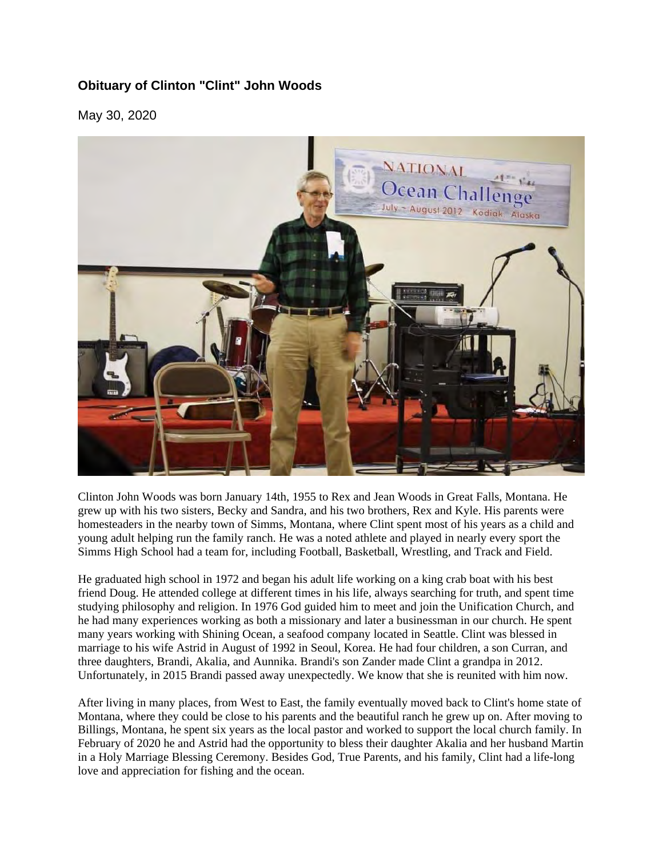## **Obituary of Clinton "Clint" John Woods**

May 30, 2020



Clinton John Woods was born January 14th, 1955 to Rex and Jean Woods in Great Falls, Montana. He grew up with his two sisters, Becky and Sandra, and his two brothers, Rex and Kyle. His parents were homesteaders in the nearby town of Simms, Montana, where Clint spent most of his years as a child and young adult helping run the family ranch. He was a noted athlete and played in nearly every sport the Simms High School had a team for, including Football, Basketball, Wrestling, and Track and Field.

He graduated high school in 1972 and began his adult life working on a king crab boat with his best friend Doug. He attended college at different times in his life, always searching for truth, and spent time studying philosophy and religion. In 1976 God guided him to meet and join the Unification Church, and he had many experiences working as both a missionary and later a businessman in our church. He spent many years working with Shining Ocean, a seafood company located in Seattle. Clint was blessed in marriage to his wife Astrid in August of 1992 in Seoul, Korea. He had four children, a son Curran, and three daughters, Brandi, Akalia, and Aunnika. Brandi's son Zander made Clint a grandpa in 2012. Unfortunately, in 2015 Brandi passed away unexpectedly. We know that she is reunited with him now.

After living in many places, from West to East, the family eventually moved back to Clint's home state of Montana, where they could be close to his parents and the beautiful ranch he grew up on. After moving to Billings, Montana, he spent six years as the local pastor and worked to support the local church family. In February of 2020 he and Astrid had the opportunity to bless their daughter Akalia and her husband Martin in a Holy Marriage Blessing Ceremony. Besides God, True Parents, and his family, Clint had a life-long love and appreciation for fishing and the ocean.